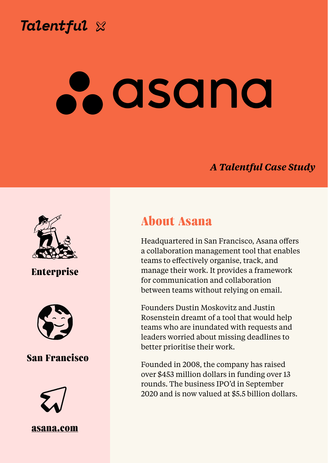

**Chris Wilkinson, Director of People**

### *A Talentful Case Study*





Headquartered in San Francisco, Asana offers a collaboration management tool that enables teams to effectively organise, track, and manage their work. It provides a framework for communication and collaboration between teams without relying on email.

Founders Dustin Moskovitz and Justin Rosenstein dreamt of a tool that would help teams who are inundated with requests and leaders worried about missing deadlines to better prioritise their work.

Founded in 2008, the company has raised over \$453 million dollars in funding over 13 rounds. The business IPO'd in September 2020 and is now valued at \$5.5 billion dollars.

### **Enterprise**



#### **San Francisco**



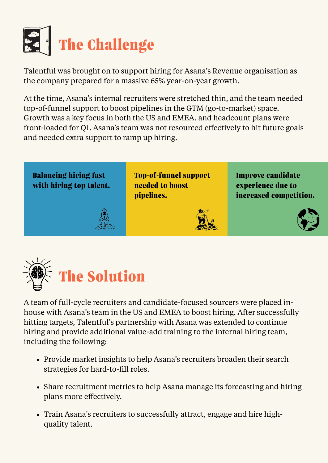

Talentful was brought on to support hiring for Asana's Revenue organisation as the company prepared for a massive 65% year-on-year growth.

At the time, Asana's internal recruiters were stretched thin, and the team needed top-of-funnel support to boost pipelines in the GTM (go-to-market) space. Growth was a key focus in both the US and EMEA, and headcount plans were front-loaded for Q1. Asana's team was not resourced effectively to hit future goals and needed extra support to ramp up hiring.



- Provide market insights to help Asana's recruiters broaden their search strategies for hard-to-fill roles.
- Share recruitment metrics to help Asana manage its forecasting and hiring plans more effectively.
- Train Asana's recruiters to successfully attract, engage and hire highquality talent.

A team of full-cycle recruiters and candidate-focused sourcers were placed inhouse with Asana's team in the US and EMEA to boost hiring. After successfully hitting targets, Talentful's partnership with Asana was extended to continue hiring and provide additional value-add training to the internal hiring team, including the following:

#### **Balancing hiring fast with hiring top talent.**

**Top-of-funnel support needed to boost pipelines.** 

**Improve candidate experience due to increased competition.**